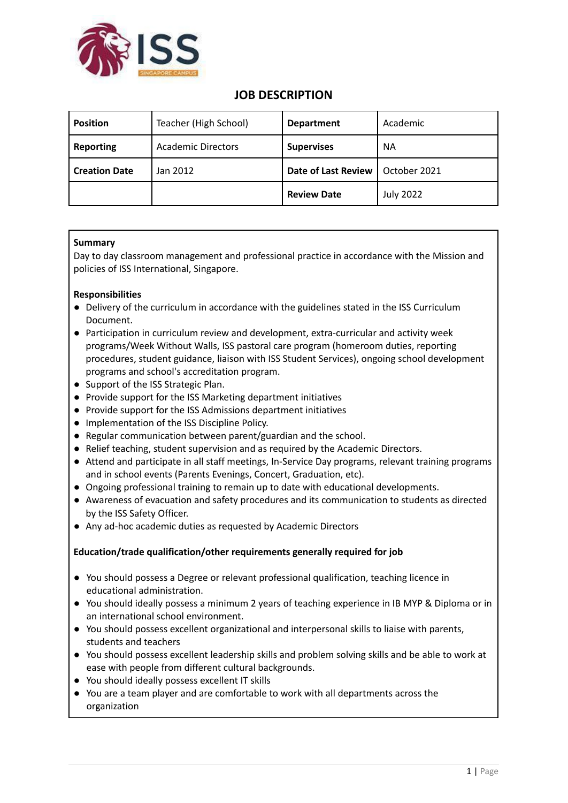

## **JOB DESCRIPTION**

| <b>Position</b>      | Teacher (High School)     | <b>Department</b>          | Academic         |
|----------------------|---------------------------|----------------------------|------------------|
| <b>Reporting</b>     | <b>Academic Directors</b> | <b>Supervises</b>          | <b>NA</b>        |
| <b>Creation Date</b> | Jan 2012                  | <b>Date of Last Review</b> | October 2021     |
|                      |                           | <b>Review Date</b>         | <b>July 2022</b> |

## **Summary**

Day to day classroom management and professional practice in accordance with the Mission and policies of ISS International, Singapore.

## **Responsibilities**

- Delivery of the curriculum in accordance with the guidelines stated in the ISS Curriculum Document.
- Participation in curriculum review and development, extra-curricular and activity week programs/Week Without Walls, ISS pastoral care program (homeroom duties, reporting procedures, student guidance, liaison with ISS Student Services), ongoing school development programs and school's accreditation program.
- Support of the ISS Strategic Plan.
- Provide support for the ISS Marketing department initiatives
- Provide support for the ISS Admissions department initiatives
- Implementation of the ISS Discipline Policy.
- Regular communication between parent/guardian and the school.
- Relief teaching, student supervision and as required by the Academic Directors.
- Attend and participate in all staff meetings, In-Service Day programs, relevant training programs and in school events (Parents Evenings, Concert, Graduation, etc).
- Ongoing professional training to remain up to date with educational developments.
- Awareness of evacuation and safety procedures and its communication to students as directed by the ISS Safety Officer.
- Any ad-hoc academic duties as requested by Academic Directors

## **Education/trade qualification/other requirements generally required for job**

- You should possess a Degree or relevant professional qualification, teaching licence in educational administration.
- You should ideally possess a minimum 2 years of teaching experience in IB MYP & Diploma or in an international school environment.
- You should possess excellent organizational and interpersonal skills to liaise with parents, students and teachers
- You should possess excellent leadership skills and problem solving skills and be able to work at ease with people from different cultural backgrounds.
- You should ideally possess excellent IT skills
- You are a team player and are comfortable to work with all departments across the organization